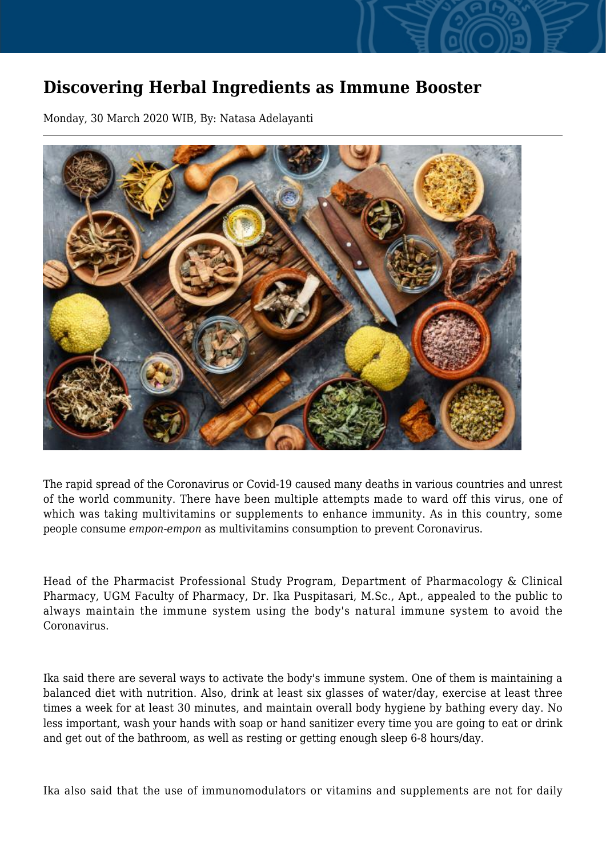## **Discovering Herbal Ingredients as Immune Booster**

Monday, 30 March 2020 WIB, By: Natasa Adelayanti



The rapid spread of the Coronavirus or Covid-19 caused many deaths in various countries and unrest of the world community. There have been multiple attempts made to ward off this virus, one of which was taking multivitamins or supplements to enhance immunity. As in this country, some people consume *empon-empon* as multivitamins consumption to prevent Coronavirus.

Head of the Pharmacist Professional Study Program, Department of Pharmacology & Clinical Pharmacy, UGM Faculty of Pharmacy, Dr. Ika Puspitasari, M.Sc., Apt., appealed to the public to always maintain the immune system using the body's natural immune system to avoid the Coronavirus.

Ika said there are several ways to activate the body's immune system. One of them is maintaining a balanced diet with nutrition. Also, drink at least six glasses of water/day, exercise at least three times a week for at least 30 minutes, and maintain overall body hygiene by bathing every day. No less important, wash your hands with soap or hand sanitizer every time you are going to eat or drink and get out of the bathroom, as well as resting or getting enough sleep 6-8 hours/day.

Ika also said that the use of immunomodulators or vitamins and supplements are not for daily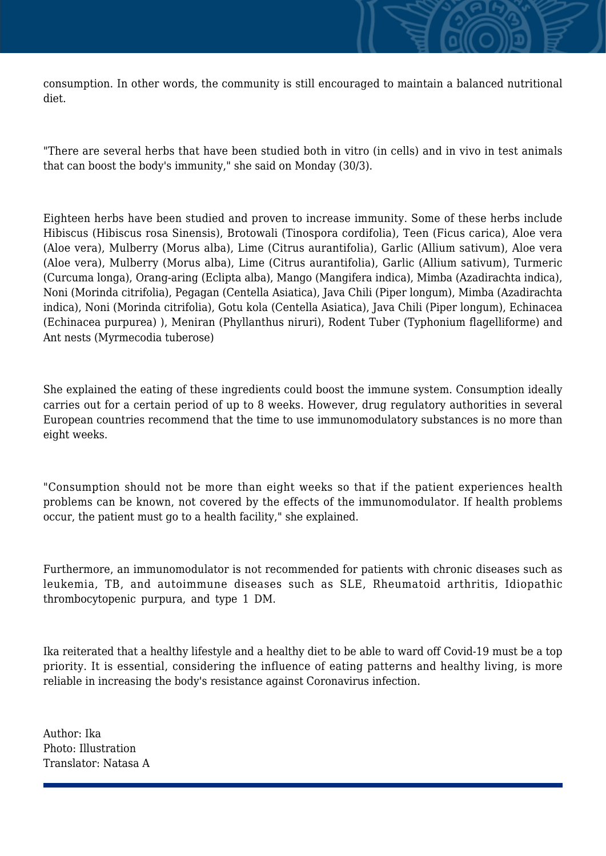consumption. In other words, the community is still encouraged to maintain a balanced nutritional diet.

"There are several herbs that have been studied both in vitro (in cells) and in vivo in test animals that can boost the body's immunity," she said on Monday (30/3).

Eighteen herbs have been studied and proven to increase immunity. Some of these herbs include Hibiscus (Hibiscus rosa Sinensis), Brotowali (Tinospora cordifolia), Teen (Ficus carica), Aloe vera (Aloe vera), Mulberry (Morus alba), Lime (Citrus aurantifolia), Garlic (Allium sativum), Aloe vera (Aloe vera), Mulberry (Morus alba), Lime (Citrus aurantifolia), Garlic (Allium sativum), Turmeric (Curcuma longa), Orang-aring (Eclipta alba), Mango (Mangifera indica), Mimba (Azadirachta indica), Noni (Morinda citrifolia), Pegagan (Centella Asiatica), Java Chili (Piper longum), Mimba (Azadirachta indica), Noni (Morinda citrifolia), Gotu kola (Centella Asiatica), Java Chili (Piper longum), Echinacea (Echinacea purpurea) ), Meniran (Phyllanthus niruri), Rodent Tuber (Typhonium flagelliforme) and Ant nests (Myrmecodia tuberose)

She explained the eating of these ingredients could boost the immune system. Consumption ideally carries out for a certain period of up to 8 weeks. However, drug regulatory authorities in several European countries recommend that the time to use immunomodulatory substances is no more than eight weeks.

"Consumption should not be more than eight weeks so that if the patient experiences health problems can be known, not covered by the effects of the immunomodulator. If health problems occur, the patient must go to a health facility," she explained.

Furthermore, an immunomodulator is not recommended for patients with chronic diseases such as leukemia, TB, and autoimmune diseases such as SLE, Rheumatoid arthritis, Idiopathic thrombocytopenic purpura, and type 1 DM.

Ika reiterated that a healthy lifestyle and a healthy diet to be able to ward off Covid-19 must be a top priority. It is essential, considering the influence of eating patterns and healthy living, is more reliable in increasing the body's resistance against Coronavirus infection.

Author: Ika Photo: Illustration Translator: Natasa A